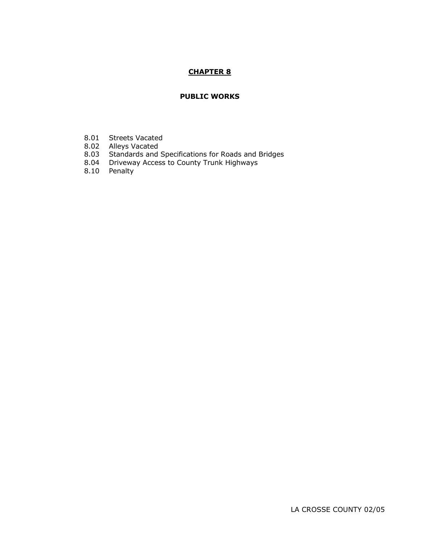# **CHAPTER 8**

## **PUBLIC WORKS**

- 8.01 Streets Vacated
- 8.02 Alleys Vacated
- 8.03 Standards and Specifications for Roads and Bridges
- 8.04 Driveway Access to County Trunk Highways
- 8.10 Penalty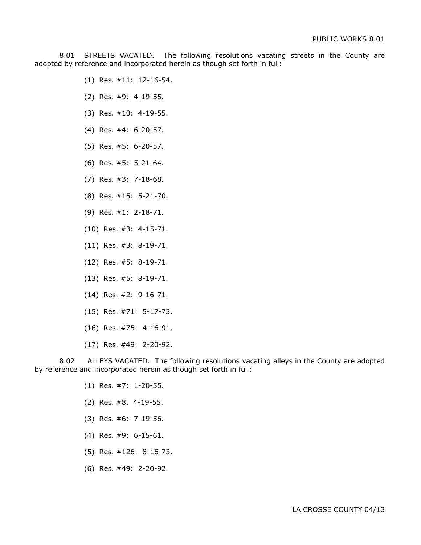8.01 STREETS VACATED. The following resolutions vacating streets in the County are adopted by reference and incorporated herein as though set forth in full:

- (1) Res. #11: 12-16-54.
- (2) Res. #9: 4-19-55.
- (3) Res. #10: 4-19-55.
- (4) Res. #4: 6-20-57.
- (5) Res. #5: 6-20-57.
- (6) Res. #5: 5-21-64.
- (7) Res. #3: 7-18-68.
- (8) Res. #15: 5-21-70.
- (9) Res. #1: 2-18-71.
- (10) Res. #3: 4-15-71.
- (11) Res. #3: 8-19-71.
- (12) Res. #5: 8-19-71.
- (13) Res. #5: 8-19-71.
- (14) Res. #2: 9-16-71.
- (15) Res. #71: 5-17-73.
- (16) Res. #75: 4-16-91.
- (17) Res. #49: 2-20-92.

8.02 ALLEYS VACATED. The following resolutions vacating alleys in the County are adopted by reference and incorporated herein as though set forth in full:

- (1) Res. #7: 1-20-55.
- (2) Res. #8. 4-19-55.
- (3) Res. #6: 7-19-56.
- (4) Res. #9: 6-15-61.
- (5) Res. #126: 8-16-73.
- (6) Res. #49: 2-20-92.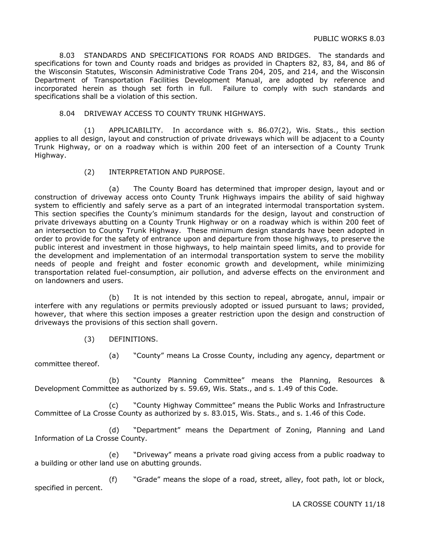8.03 STANDARDS AND SPECIFICATIONS FOR ROADS AND BRIDGES. The standards and specifications for town and County roads and bridges as provided in Chapters 82, 83, 84, and 86 of the Wisconsin Statutes, Wisconsin Administrative Code Trans 204, 205, and 214, and the Wisconsin Department of Transportation Facilities Development Manual, are adopted by reference and incorporated herein as though set forth in full. Failure to comply with such standards and specifications shall be a violation of this section.

8.04 DRIVEWAY ACCESS TO COUNTY TRUNK HIGHWAYS.

(1) APPLICABILITY. In accordance with s. 86.07(2), Wis. Stats., this section applies to all design, layout and construction of private driveways which will be adjacent to a County Trunk Highway, or on a roadway which is within 200 feet of an intersection of a County Trunk Highway.

(2) INTERPRETATION AND PURPOSE.

(a) The County Board has determined that improper design, layout and or construction of driveway access onto County Trunk Highways impairs the ability of said highway system to efficiently and safely serve as a part of an integrated intermodal transportation system. This section specifies the County's minimum standards for the design, layout and construction of private driveways abutting on a County Trunk Highway or on a roadway which is within 200 feet of an intersection to County Trunk Highway. These minimum design standards have been adopted in order to provide for the safety of entrance upon and departure from those highways, to preserve the public interest and investment in those highways, to help maintain speed limits, and to provide for the development and implementation of an intermodal transportation system to serve the mobility needs of people and freight and foster economic growth and development, while minimizing transportation related fuel-consumption, air pollution, and adverse effects on the environment and on landowners and users.

(b) It is not intended by this section to repeal, abrogate, annul, impair or interfere with any regulations or permits previously adopted or issued pursuant to laws; provided, however, that where this section imposes a greater restriction upon the design and construction of driveways the provisions of this section shall govern.

(3) DEFINITIONS.

(a) "County" means La Crosse County, including any agency, department or committee thereof.

(b) "County Planning Committee" means the Planning, Resources & Development Committee as authorized by s. 59.69, Wis. Stats., and s. 1.49 of this Code.

(c) "County Highway Committee" means the Public Works and Infrastructure Committee of La Crosse County as authorized by s. 83.015, Wis. Stats., and s. 1.46 of this Code.

(d) "Department" means the Department of Zoning, Planning and Land Information of La Crosse County.

(e) "Driveway" means a private road giving access from a public roadway to a building or other land use on abutting grounds.

(f) "Grade" means the slope of a road, street, alley, foot path, lot or block, specified in percent.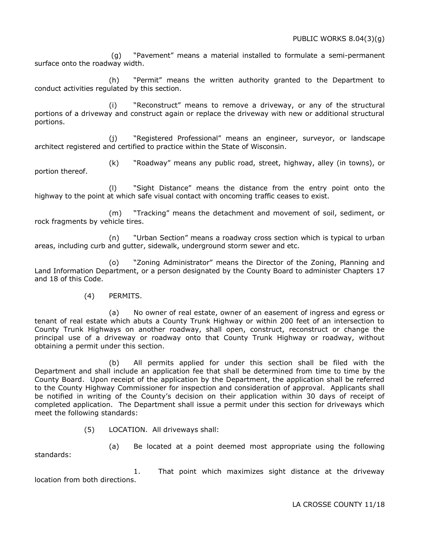(g) "Pavement" means a material installed to formulate a semi-permanent surface onto the roadway width.

(h) "Permit" means the written authority granted to the Department to conduct activities regulated by this section.

(i) "Reconstruct" means to remove a driveway, or any of the structural portions of a driveway and construct again or replace the driveway with new or additional structural portions.

(j) "Registered Professional" means an engineer, surveyor, or landscape architect registered and certified to practice within the State of Wisconsin.

(k) "Roadway" means any public road, street, highway, alley (in towns), or portion thereof.

(l) "Sight Distance" means the distance from the entry point onto the highway to the point at which safe visual contact with oncoming traffic ceases to exist.

(m) "Tracking" means the detachment and movement of soil, sediment, or rock fragments by vehicle tires.

(n) "Urban Section" means a roadway cross section which is typical to urban areas, including curb and gutter, sidewalk, underground storm sewer and etc.

(o) "Zoning Administrator" means the Director of the Zoning, Planning and Land Information Department, or a person designated by the County Board to administer Chapters 17 and 18 of this Code.

## (4) PERMITS.

(a) No owner of real estate, owner of an easement of ingress and egress or tenant of real estate which abuts a County Trunk Highway or within 200 feet of an intersection to County Trunk Highways on another roadway, shall open, construct, reconstruct or change the principal use of a driveway or roadway onto that County Trunk Highway or roadway, without obtaining a permit under this section.

(b) All permits applied for under this section shall be filed with the Department and shall include an application fee that shall be determined from time to time by the County Board. Upon receipt of the application by the Department, the application shall be referred to the County Highway Commissioner for inspection and consideration of approval. Applicants shall be notified in writing of the County's decision on their application within 30 days of receipt of completed application. The Department shall issue a permit under this section for driveways which meet the following standards:

(5) LOCATION. All driveways shall:

standards:

(a) Be located at a point deemed most appropriate using the following

1. That point which maximizes sight distance at the driveway location from both directions.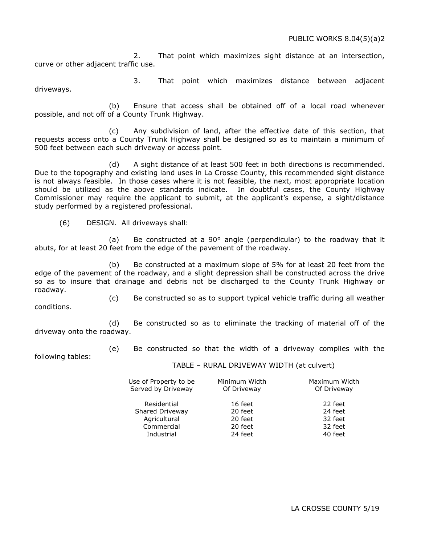2. That point which maximizes sight distance at an intersection, curve or other adjacent traffic use.

3. That point which maximizes distance between adjacent driveways.

(b) Ensure that access shall be obtained off of a local road whenever possible, and not off of a County Trunk Highway.

(c) Any subdivision of land, after the effective date of this section, that requests access onto a County Trunk Highway shall be designed so as to maintain a minimum of 500 feet between each such driveway or access point.

(d) A sight distance of at least 500 feet in both directions is recommended. Due to the topography and existing land uses in La Crosse County, this recommended sight distance is not always feasible. In those cases where it is not feasible, the next, most appropriate location should be utilized as the above standards indicate. In doubtful cases, the County Highway Commissioner may require the applicant to submit, at the applicant's expense, a sight/distance study performed by a registered professional.

(6) DESIGN. All driveways shall:

(a) Be constructed at a 90 $^{\circ}$  angle (perpendicular) to the roadway that it abuts, for at least 20 feet from the edge of the pavement of the roadway.

(b) Be constructed at a maximum slope of 5% for at least 20 feet from the edge of the pavement of the roadway, and a slight depression shall be constructed across the drive so as to insure that drainage and debris not be discharged to the County Trunk Highway or roadway.

(c) Be constructed so as to support typical vehicle traffic during all weather conditions.

(d) Be constructed so as to eliminate the tracking of material off of the driveway onto the roadway.

(e) Be constructed so that the width of a driveway complies with the

following tables:

TABLE – RURAL DRIVEWAY WIDTH (at culvert)

| Use of Property to be<br>Served by Driveway | Minimum Width<br>Of Driveway | Maximum Width<br>Of Driveway |
|---------------------------------------------|------------------------------|------------------------------|
| Residential                                 | 16 feet                      | 22 feet                      |
| Shared Driveway                             | 20 feet                      | 24 feet                      |
| Agricultural                                | 20 feet                      | 32 feet                      |
| Commercial                                  | 20 feet                      | 32 feet                      |
| Industrial                                  | 24 feet                      | 40 feet                      |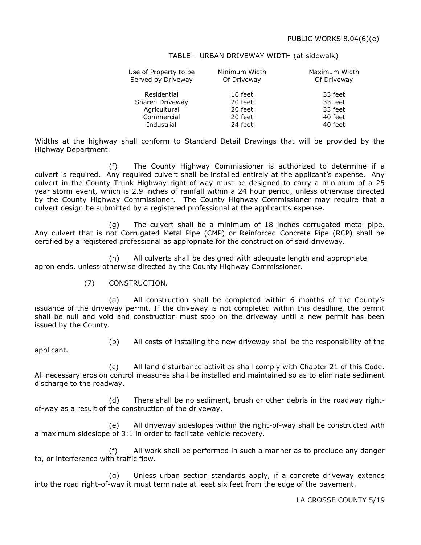#### TABLE – URBAN DRIVEWAY WIDTH (at sidewalk)

| Use of Property to be<br>Served by Driveway | Minimum Width<br>Of Driveway | Maximum Width<br>Of Driveway |
|---------------------------------------------|------------------------------|------------------------------|
| Residential                                 | 16 feet                      | 33 feet                      |
| Shared Driveway                             | 20 feet                      | 33 feet                      |
| Agricultural                                | 20 feet                      | 33 feet                      |
| Commercial                                  | 20 feet                      | 40 feet                      |
| Industrial                                  | 24 feet                      | 40 feet                      |

Widths at the highway shall conform to Standard Detail Drawings that will be provided by the Highway Department.

(f) The County Highway Commissioner is authorized to determine if a culvert is required. Any required culvert shall be installed entirely at the applicant's expense. Any culvert in the County Trunk Highway right-of-way must be designed to carry a minimum of a 25 year storm event, which is 2.9 inches of rainfall within a 24 hour period, unless otherwise directed by the County Highway Commissioner. The County Highway Commissioner may require that a culvert design be submitted by a registered professional at the applicant's expense.

(g) The culvert shall be a minimum of 18 inches corrugated metal pipe. Any culvert that is not Corrugated Metal Pipe (CMP) or Reinforced Concrete Pipe (RCP) shall be certified by a registered professional as appropriate for the construction of said driveway.

(h) All culverts shall be designed with adequate length and appropriate apron ends, unless otherwise directed by the County Highway Commissioner.

(7) CONSTRUCTION.

(a) All construction shall be completed within 6 months of the County's issuance of the driveway permit. If the driveway is not completed within this deadline, the permit shall be null and void and construction must stop on the driveway until a new permit has been issued by the County.

applicant.

(b) All costs of installing the new driveway shall be the responsibility of the

(c) All land disturbance activities shall comply with Chapter 21 of this Code. All necessary erosion control measures shall be installed and maintained so as to eliminate sediment discharge to the roadway.

(d) There shall be no sediment, brush or other debris in the roadway rightof-way as a result of the construction of the driveway.

(e) All driveway sideslopes within the right-of-way shall be constructed with a maximum sideslope of 3:1 in order to facilitate vehicle recovery.

(f) All work shall be performed in such a manner as to preclude any danger to, or interference with traffic flow.

(g) Unless urban section standards apply, if a concrete driveway extends into the road right-of-way it must terminate at least six feet from the edge of the pavement.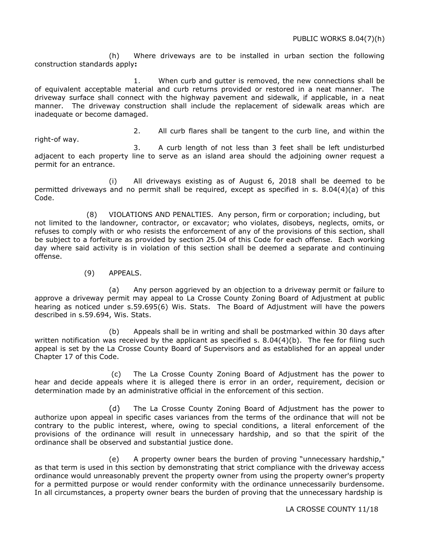(h) Where driveways are to be installed in urban section the following construction standards apply**:**

1. When curb and gutter is removed, the new connections shall be of equivalent acceptable material and curb returns provided or restored in a neat manner. The driveway surface shall connect with the highway pavement and sidewalk, if applicable, in a neat manner. The driveway construction shall include the replacement of sidewalk areas which are inadequate or become damaged.

2. All curb flares shall be tangent to the curb line, and within the

right-of way. 3. A curb length of not less than 3 feet shall be left undisturbed adjacent to each property line to serve as an island area should the adjoining owner request a permit for an entrance.

(i) All driveways existing as of August 6, 2018 shall be deemed to be permitted driveways and no permit shall be required, except as specified in s. 8.04(4)(a) of this Code.

(8) VIOLATIONS AND PENALTIES. Any person, firm or corporation; including, but not limited to the landowner, contractor, or excavator; who violates, disobeys, neglects, omits, or refuses to comply with or who resists the enforcement of any of the provisions of this section, shall be subject to a forfeiture as provided by section 25.04 of this Code for each offense. Each working day where said activity is in violation of this section shall be deemed a separate and continuing offense.

#### (9) APPEALS.

(a) Any person aggrieved by an objection to a driveway permit or failure to approve a driveway permit may appeal to La Crosse County Zoning Board of Adjustment at public hearing as noticed under s.59.695(6) Wis. Stats. The Board of Adjustment will have the powers described in s.59.694, Wis. Stats.

(b) Appeals shall be in writing and shall be postmarked within 30 days after written notification was received by the applicant as specified s. 8.04(4)(b). The fee for filing such appeal is set by the La Crosse County Board of Supervisors and as established for an appeal under Chapter 17 of this Code.

(c) The La Crosse County Zoning Board of Adjustment has the power to hear and decide appeals where it is alleged there is error in an order, requirement, decision or determination made by an administrative official in the enforcement of this section.

(d) The La Crosse County Zoning Board of Adjustment has the power to authorize upon appeal in specific cases variances from the terms of the ordinance that will not be contrary to the public interest, where, owing to special conditions, a literal enforcement of the provisions of the ordinance will result in unnecessary hardship, and so that the spirit of the ordinance shall be observed and substantial justice done.

(e) A property owner bears the burden of proving "unnecessary hardship," as that term is used in this section by demonstrating that strict compliance with the driveway access ordinance would unreasonably prevent the property owner from using the property owner's property for a permitted purpose or would render conformity with the ordinance unnecessarily burdensome. In all circumstances, a property owner bears the burden of proving that the unnecessary hardship is